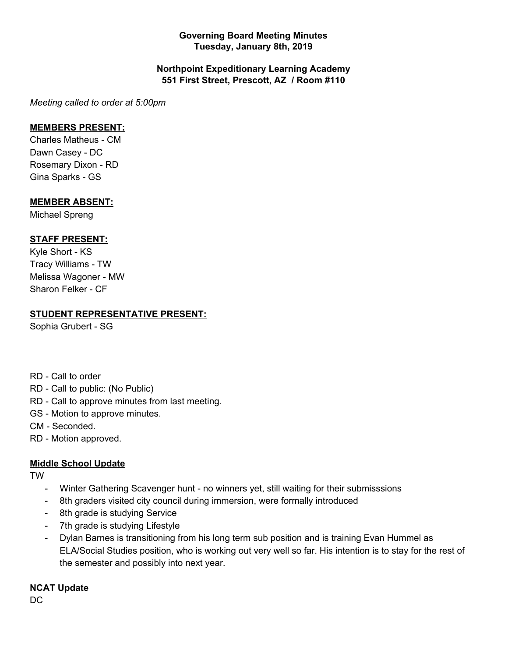## **Governing Board Meeting Minutes Tuesday, January 8th, 2019**

## **Northpoint Expeditionary Learning Academy 551 First Street, Prescott, AZ / Room #110**

*Meeting called to order at 5:00pm*

#### **MEMBERS PRESENT:**

Charles Matheus - CM Dawn Casey - DC Rosemary Dixon - RD Gina Sparks - GS

## **MEMBER ABSENT:**

Michael Spreng

# **STAFF PRESENT:**

Kyle Short - KS Tracy Williams - TW Melissa Wagoner - MW Sharon Felker - CF

# **STUDENT REPRESENTATIVE PRESENT:**

Sophia Grubert - SG

- RD Call to order
- RD Call to public: (No Public)
- RD Call to approve minutes from last meeting.
- GS Motion to approve minutes.
- CM Seconded.
- RD Motion approved.

# **Middle School Update**

TW

- Winter Gathering Scavenger hunt no winners yet, still waiting for their submisssions
- 8th graders visited city council during immersion, were formally introduced
- 8th grade is studying Service
- 7th grade is studying Lifestyle
- Dylan Barnes is transitioning from his long term sub position and is training Evan Hummel as ELA/Social Studies position, who is working out very well so far. His intention is to stay for the rest of the semester and possibly into next year.

#### **NCAT Update**

DC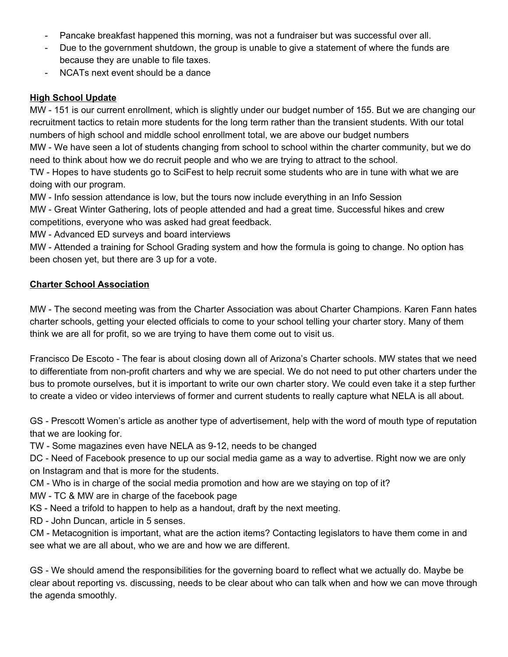- Pancake breakfast happened this morning, was not a fundraiser but was successful over all.
- Due to the government shutdown, the group is unable to give a statement of where the funds are because they are unable to file taxes.
- NCATs next event should be a dance

# **High School Update**

MW - 151 is our current enrollment, which is slightly under our budget number of 155. But we are changing our recruitment tactics to retain more students for the long term rather than the transient students. With our total numbers of high school and middle school enrollment total, we are above our budget numbers

MW - We have seen a lot of students changing from school to school within the charter community, but we do need to think about how we do recruit people and who we are trying to attract to the school.

TW - Hopes to have students go to SciFest to help recruit some students who are in tune with what we are doing with our program.

MW - Info session attendance is low, but the tours now include everything in an Info Session

MW - Great Winter Gathering, lots of people attended and had a great time. Successful hikes and crew competitions, everyone who was asked had great feedback.

MW - Advanced ED surveys and board interviews

MW - Attended a training for School Grading system and how the formula is going to change. No option has been chosen yet, but there are 3 up for a vote.

# **Charter School Association**

MW - The second meeting was from the Charter Association was about Charter Champions. Karen Fann hates charter schools, getting your elected officials to come to your school telling your charter story. Many of them think we are all for profit, so we are trying to have them come out to visit us.

Francisco De Escoto - The fear is about closing down all of Arizona's Charter schools. MW states that we need to differentiate from non-profit charters and why we are special. We do not need to put other charters under the bus to promote ourselves, but it is important to write our own charter story. We could even take it a step further to create a video or video interviews of former and current students to really capture what NELA is all about.

GS - Prescott Women's article as another type of advertisement, help with the word of mouth type of reputation that we are looking for.

TW - Some magazines even have NELA as 9-12, needs to be changed

DC - Need of Facebook presence to up our social media game as a way to advertise. Right now we are only on Instagram and that is more for the students.

CM - Who is in charge of the social media promotion and how are we staying on top of it?

MW - TC & MW are in charge of the facebook page

KS - Need a trifold to happen to help as a handout, draft by the next meeting.

RD - John Duncan, article in 5 senses.

CM - Metacognition is important, what are the action items? Contacting legislators to have them come in and see what we are all about, who we are and how we are different.

GS - We should amend the responsibilities for the governing board to reflect what we actually do. Maybe be clear about reporting vs. discussing, needs to be clear about who can talk when and how we can move through the agenda smoothly.